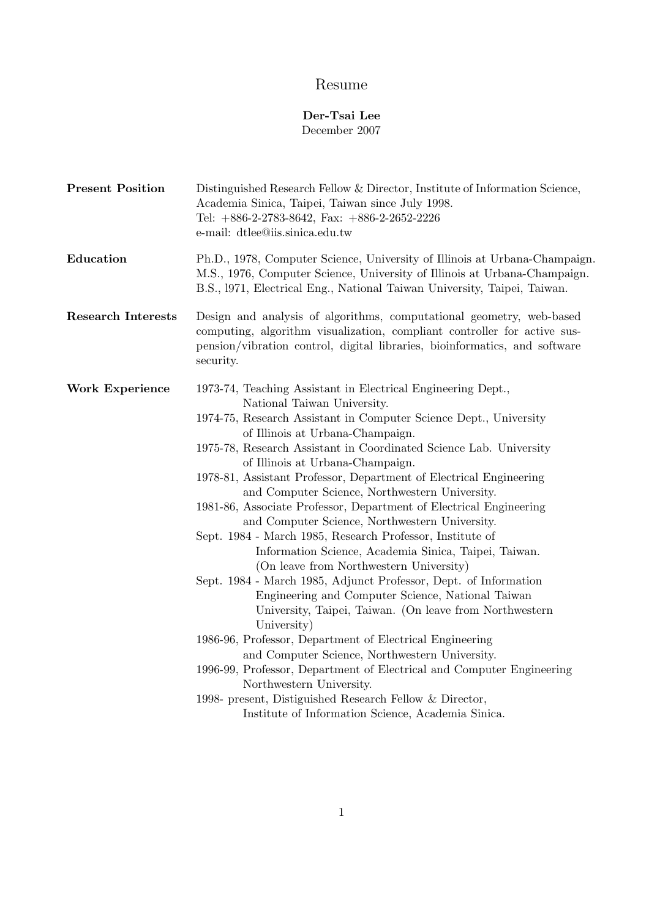# Resume

## Der-Tsai Lee December 2007

| <b>Present Position</b>   | Distinguished Research Fellow & Director, Institute of Information Science,<br>Academia Sinica, Taipei, Taiwan since July 1998.<br>Tel: $+886-2-2783-8642$ , Fax: $+886-2-2652-2226$<br>e-mail: dtlee@iis.sinica.edu.tw                                                                                                                                                                                                                                                                                                                                                                                                                                                                                                                                                                                                                                                                                                                                                                                                                                                                                                                                                                                          |
|---------------------------|------------------------------------------------------------------------------------------------------------------------------------------------------------------------------------------------------------------------------------------------------------------------------------------------------------------------------------------------------------------------------------------------------------------------------------------------------------------------------------------------------------------------------------------------------------------------------------------------------------------------------------------------------------------------------------------------------------------------------------------------------------------------------------------------------------------------------------------------------------------------------------------------------------------------------------------------------------------------------------------------------------------------------------------------------------------------------------------------------------------------------------------------------------------------------------------------------------------|
| Education                 | Ph.D., 1978, Computer Science, University of Illinois at Urbana-Champaign.<br>M.S., 1976, Computer Science, University of Illinois at Urbana-Champaign.<br>B.S., 1971, Electrical Eng., National Taiwan University, Taipei, Taiwan.                                                                                                                                                                                                                                                                                                                                                                                                                                                                                                                                                                                                                                                                                                                                                                                                                                                                                                                                                                              |
| <b>Research Interests</b> | Design and analysis of algorithms, computational geometry, web-based<br>computing, algorithm visualization, compliant controller for active sus-<br>pension/vibration control, digital libraries, bioinformatics, and software<br>security.                                                                                                                                                                                                                                                                                                                                                                                                                                                                                                                                                                                                                                                                                                                                                                                                                                                                                                                                                                      |
| <b>Work Experience</b>    | 1973-74, Teaching Assistant in Electrical Engineering Dept.,<br>National Taiwan University.<br>1974-75, Research Assistant in Computer Science Dept., University<br>of Illinois at Urbana-Champaign.<br>1975-78, Research Assistant in Coordinated Science Lab. University<br>of Illinois at Urbana-Champaign.<br>1978-81, Assistant Professor, Department of Electrical Engineering<br>and Computer Science, Northwestern University.<br>1981-86, Associate Professor, Department of Electrical Engineering<br>and Computer Science, Northwestern University.<br>Sept. 1984 - March 1985, Research Professor, Institute of<br>Information Science, Academia Sinica, Taipei, Taiwan.<br>(On leave from Northwestern University)<br>Sept. 1984 - March 1985, Adjunct Professor, Dept. of Information<br>Engineering and Computer Science, National Taiwan<br>University, Taipei, Taiwan. (On leave from Northwestern<br>University)<br>1986-96, Professor, Department of Electrical Engineering<br>and Computer Science, Northwestern University.<br>1996-99, Professor, Department of Electrical and Computer Engineering<br>Northwestern University.<br>1998- present, Distiguished Research Fellow & Director, |
|                           | Institute of Information Science, Academia Sinica.                                                                                                                                                                                                                                                                                                                                                                                                                                                                                                                                                                                                                                                                                                                                                                                                                                                                                                                                                                                                                                                                                                                                                               |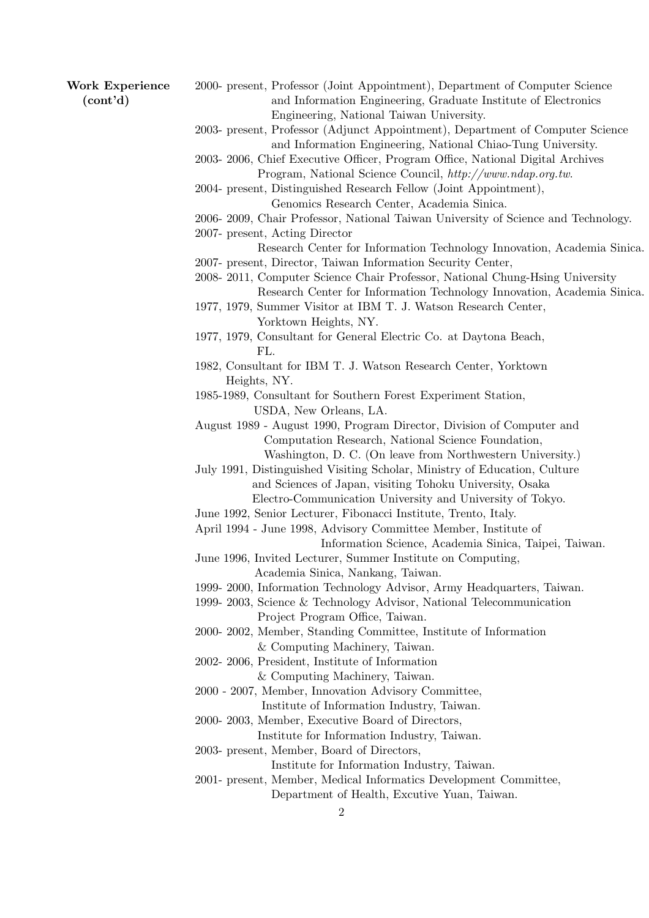| <b>Work Experience</b><br>(cont'd) | 2000- present, Professor (Joint Appointment), Department of Computer Science<br>and Information Engineering, Graduate Institute of Electronics |
|------------------------------------|------------------------------------------------------------------------------------------------------------------------------------------------|
|                                    | Engineering, National Taiwan University.<br>2003- present, Professor (Adjunct Appointment), Department of Computer Science                     |
|                                    | and Information Engineering, National Chiao-Tung University.<br>2003-2006, Chief Executive Officer, Program Office, National Digital Archives  |
|                                    | Program, National Science Council, http://www.ndap.org.tw.<br>2004- present, Distinguished Research Fellow (Joint Appointment),                |
|                                    | Genomics Research Center, Academia Sinica.                                                                                                     |
|                                    | 2006-2009, Chair Professor, National Taiwan University of Science and Technology.                                                              |
|                                    | 2007- present, Acting Director                                                                                                                 |
|                                    | Research Center for Information Technology Innovation, Academia Sinica.                                                                        |
|                                    | 2007- present, Director, Taiwan Information Security Center,                                                                                   |
|                                    | 2008-2011, Computer Science Chair Professor, National Chung-Hsing University                                                                   |
|                                    | Research Center for Information Technology Innovation, Academia Sinica.<br>1977, 1979, Summer Visitor at IBM T. J. Watson Research Center,     |
|                                    | Yorktown Heights, NY.                                                                                                                          |
|                                    | 1977, 1979, Consultant for General Electric Co. at Daytona Beach,                                                                              |
|                                    | FL.                                                                                                                                            |
|                                    | 1982, Consultant for IBM T. J. Watson Research Center, Yorktown<br>Heights, NY.                                                                |
|                                    | 1985-1989, Consultant for Southern Forest Experiment Station,                                                                                  |
|                                    | USDA, New Orleans, LA.                                                                                                                         |
|                                    | August 1989 - August 1990, Program Director, Division of Computer and                                                                          |
|                                    | Computation Research, National Science Foundation,                                                                                             |
|                                    | Washington, D. C. (On leave from Northwestern University.)                                                                                     |
|                                    | July 1991, Distinguished Visiting Scholar, Ministry of Education, Culture<br>and Sciences of Japan, visiting Tohoku University, Osaka          |
|                                    | Electro-Communication University and University of Tokyo.                                                                                      |
|                                    | June 1992, Senior Lecturer, Fibonacci Institute, Trento, Italy.                                                                                |
|                                    | April 1994 - June 1998, Advisory Committee Member, Institute of                                                                                |
|                                    | Information Science, Academia Sinica, Taipei, Taiwan.                                                                                          |
|                                    | June 1996, Invited Lecturer, Summer Institute on Computing,                                                                                    |
|                                    | Academia Sinica, Nankang, Taiwan.                                                                                                              |
|                                    | 1999-2000, Information Technology Advisor, Army Headquarters, Taiwan.<br>1999-2003, Science & Technology Advisor, National Telecommunication   |
|                                    | Project Program Office, Taiwan.                                                                                                                |
|                                    | 2000-2002, Member, Standing Committee, Institute of Information                                                                                |
|                                    | & Computing Machinery, Taiwan.                                                                                                                 |
|                                    | 2002-2006, President, Institute of Information                                                                                                 |
|                                    | & Computing Machinery, Taiwan.                                                                                                                 |
|                                    | 2000 - 2007, Member, Innovation Advisory Committee,                                                                                            |
|                                    | Institute of Information Industry, Taiwan.<br>2000-2003, Member, Executive Board of Directors,                                                 |
|                                    | Institute for Information Industry, Taiwan.                                                                                                    |
|                                    | 2003- present, Member, Board of Directors,                                                                                                     |
|                                    | Institute for Information Industry, Taiwan.                                                                                                    |
|                                    | 2001- present, Member, Medical Informatics Development Committee,                                                                              |
|                                    | Department of Health, Excutive Yuan, Taiwan.                                                                                                   |
|                                    | $\overline{2}$                                                                                                                                 |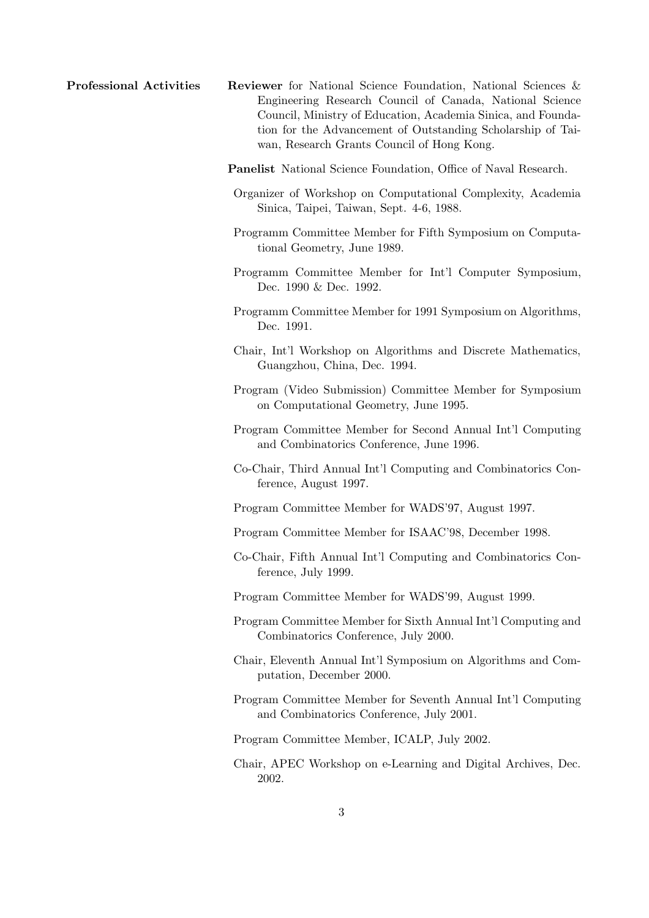- **Professional Activities Reviewer** for National Science Foundation, National Sciences & Engineering Research Council of Canada, National Science Council, Ministry of Education, Academia Sinica, and Foundation for the Advancement of Outstanding Scholarship of Taiwan, Research Grants Council of Hong Kong.
	- Panelist National Science Foundation, Office of Naval Research.
	- Organizer of Workshop on Computational Complexity, Academia Sinica, Taipei, Taiwan, Sept. 4-6, 1988.
	- Programm Committee Member for Fifth Symposium on Computational Geometry, June 1989.
	- Programm Committee Member for Int'l Computer Symposium, Dec. 1990 & Dec. 1992.
	- Programm Committee Member for 1991 Symposium on Algorithms, Dec. 1991.
	- Chair, Int'l Workshop on Algorithms and Discrete Mathematics, Guangzhou, China, Dec. 1994.
	- Program (Video Submission) Committee Member for Symposium on Computational Geometry, June 1995.
	- Program Committee Member for Second Annual Int'l Computing and Combinatorics Conference, June 1996.
	- Co-Chair, Third Annual Int'l Computing and Combinatorics Conference, August 1997.
	- Program Committee Member for WADS'97, August 1997.
	- Program Committee Member for ISAAC'98, December 1998.
	- Co-Chair, Fifth Annual Int'l Computing and Combinatorics Conference, July 1999.
	- Program Committee Member for WADS'99, August 1999.
	- Program Committee Member for Sixth Annual Int'l Computing and Combinatorics Conference, July 2000.
	- Chair, Eleventh Annual Int'l Symposium on Algorithms and Computation, December 2000.
	- Program Committee Member for Seventh Annual Int'l Computing and Combinatorics Conference, July 2001.
	- Program Committee Member, ICALP, July 2002.
	- Chair, APEC Workshop on e-Learning and Digital Archives, Dec. 2002.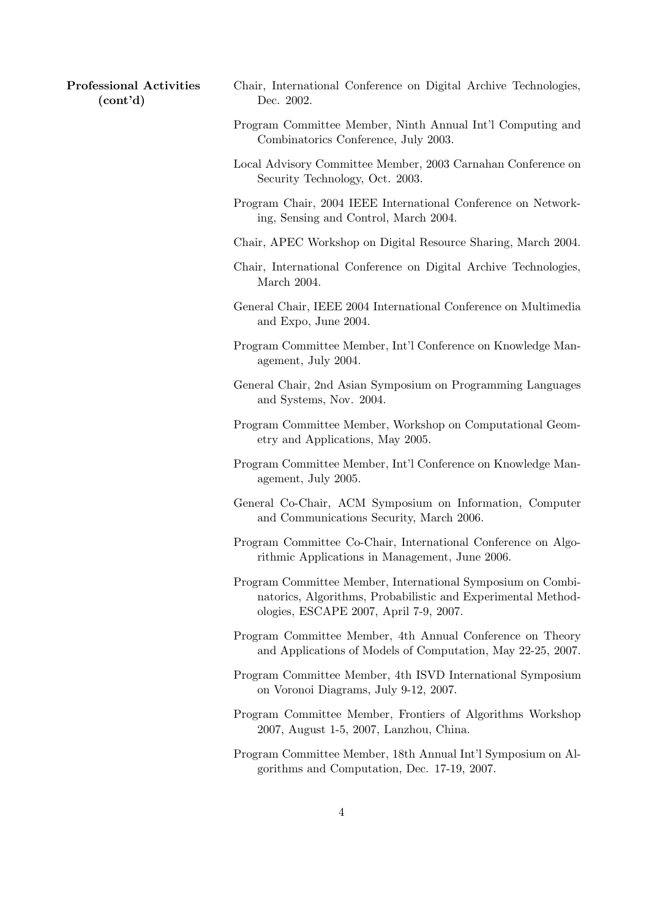Professional Activities (cont'd)

- Chair, International Conference on Digital Archive Technologies, Dec. 2002.
- Program Committee Member, Ninth Annual Int'l Computing and Combinatorics Conference, July 2003.
- Local Advisory Committee Member, 2003 Carnahan Conference on Security Technology, Oct. 2003.
- Program Chair, 2004 IEEE International Conference on Networking, Sensing and Control, March 2004.
- Chair, APEC Workshop on Digital Resource Sharing, March 2004.
- Chair, International Conference on Digital Archive Technologies, March 2004.
- General Chair, IEEE 2004 International Conference on Multimedia and Expo, June 2004.
- Program Committee Member, Int'l Conference on Knowledge Management, July 2004.
- General Chair, 2nd Asian Symposium on Programming Languages and Systems, Nov. 2004.
- Program Committee Member, Workshop on Computational Geometry and Applications, May 2005.
- Program Committee Member, Int'l Conference on Knowledge Management, July 2005.
- General Co-Chair, ACM Symposium on Information, Computer and Communications Security, March 2006.
- Program Committee Co-Chair, International Conference on Algorithmic Applications in Management, June 2006.
- Program Committee Member, International Symposium on Combinatorics, Algorithms, Probabilistic and Experimental Methodologies, ESCAPE 2007, April 7-9, 2007.
- Program Committee Member, 4th Annual Conference on Theory and Applications of Models of Computation, May 22-25, 2007.
- Program Committee Member, 4th ISVD International Symposium on Voronoi Diagrams, July 9-12, 2007.
- Program Committee Member, Frontiers of Algorithms Workshop 2007, August 1-5, 2007, Lanzhou, China.
- Program Committee Member, 18th Annual Int'l Symposium on Algorithms and Computation, Dec. 17-19, 2007.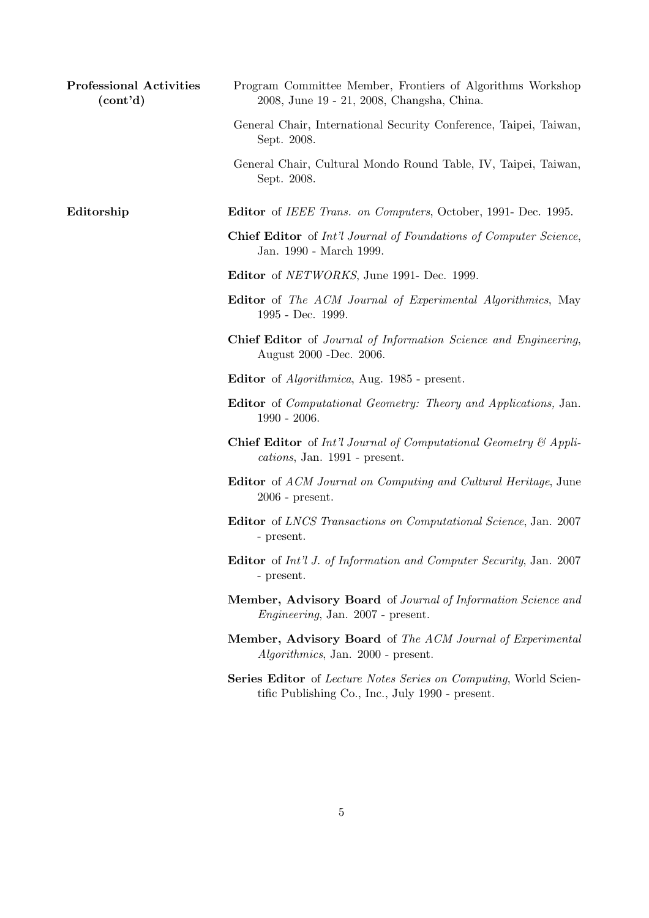| <b>Professional Activities</b><br>(cont'd) | Program Committee Member, Frontiers of Algorithms Workshop<br>2008, June 19 - 21, 2008, Changsha, China.             |
|--------------------------------------------|----------------------------------------------------------------------------------------------------------------------|
|                                            | General Chair, International Security Conference, Taipei, Taiwan,<br>Sept. 2008.                                     |
|                                            | General Chair, Cultural Mondo Round Table, IV, Taipei, Taiwan,<br>Sept. 2008.                                        |
| Editorship                                 | <b>Editor</b> of <i>IEEE Trans. on Computers</i> , October, 1991- Dec. 1995.                                         |
|                                            | <b>Chief Editor</b> of Int'l Journal of Foundations of Computer Science,<br>Jan. 1990 - March 1999.                  |
|                                            | <b>Editor</b> of <i>NETWORKS</i> , June 1991- Dec. 1999.                                                             |
|                                            | <b>Editor</b> of <i>The ACM Journal of Experimental Algorithmics</i> , May<br>1995 - Dec. 1999.                      |
|                                            | <b>Chief Editor</b> of Journal of Information Science and Engineering,<br>August 2000 - Dec. 2006.                   |
|                                            | <b>Editor</b> of <i>Algorithmica</i> , Aug. 1985 - present.                                                          |
|                                            | <b>Editor</b> of <i>Computational Geometry: Theory and Applications</i> , Jan.<br>$1990 - 2006.$                     |
|                                            | <b>Chief Editor</b> of Int'l Journal of Computational Geometry $\mathcal{C}$ Appli-<br>cations, Jan. 1991 - present. |
|                                            | <b>Editor</b> of ACM Journal on Computing and Cultural Heritage, June<br>$2006$ - present.                           |
|                                            | <b>Editor</b> of LNCS Transactions on Computational Science, Jan. 2007<br>- present.                                 |
|                                            | Editor of Int'l J. of Information and Computer Security, Jan. 2007<br>- present.                                     |
|                                            | Member, Advisory Board of Journal of Information Science and<br><i>Engineering</i> , Jan. 2007 - present.            |
|                                            | Member, Advisory Board of The ACM Journal of Experimental<br><i>Algorithmics</i> , Jan. 2000 - present.              |
|                                            | Series Editor of Lecture Notes Series on Computing, World Scien-<br>tific Publishing Co., Inc., July 1990 - present. |
|                                            |                                                                                                                      |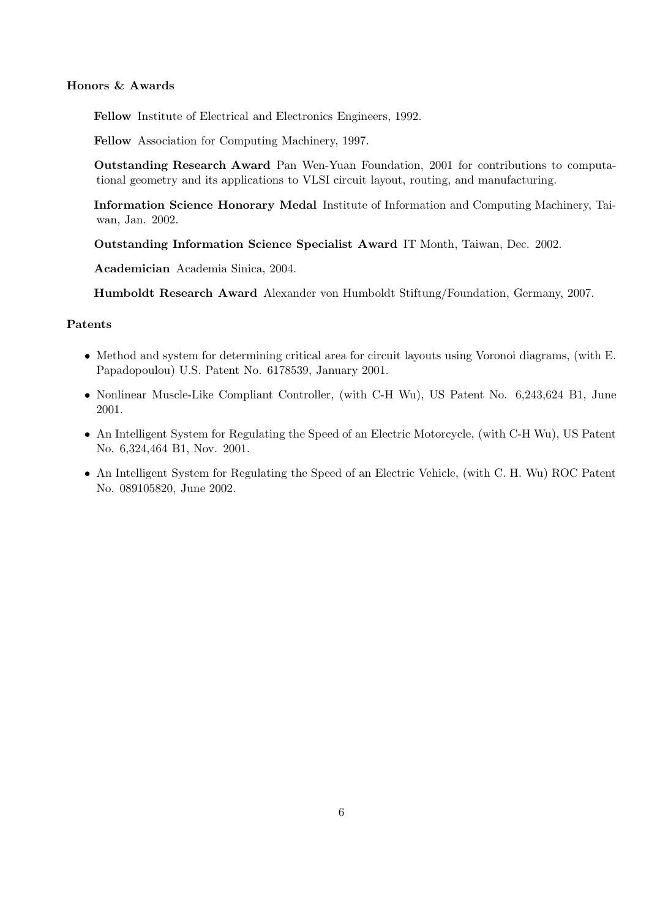### Honors & Awards

Fellow Institute of Electrical and Electronics Engineers, 1992.

Fellow Association for Computing Machinery, 1997.

Outstanding Research Award Pan Wen-Yuan Foundation, 2001 for contributions to computational geometry and its applications to VLSI circuit layout, routing, and manufacturing.

Information Science Honorary Medal Institute of Information and Computing Machinery, Taiwan, Jan. 2002.

Outstanding Information Science Specialist Award IT Month, Taiwan, Dec. 2002.

Academician Academia Sinica, 2004.

Humboldt Research Award Alexander von Humboldt Stiftung/Foundation, Germany, 2007.

#### Patents

- Method and system for determining critical area for circuit layouts using Voronoi diagrams, (with E. Papadopoulou) U.S. Patent No. 6178539, January 2001.
- Nonlinear Muscle-Like Compliant Controller, (with C-H Wu), US Patent No. 6,243,624 B1, June 2001.
- An Intelligent System for Regulating the Speed of an Electric Motorcycle, (with C-H Wu), US Patent No. 6,324,464 B1, Nov. 2001.
- An Intelligent System for Regulating the Speed of an Electric Vehicle, (with C. H. Wu) ROC Patent No. 089105820, June 2002.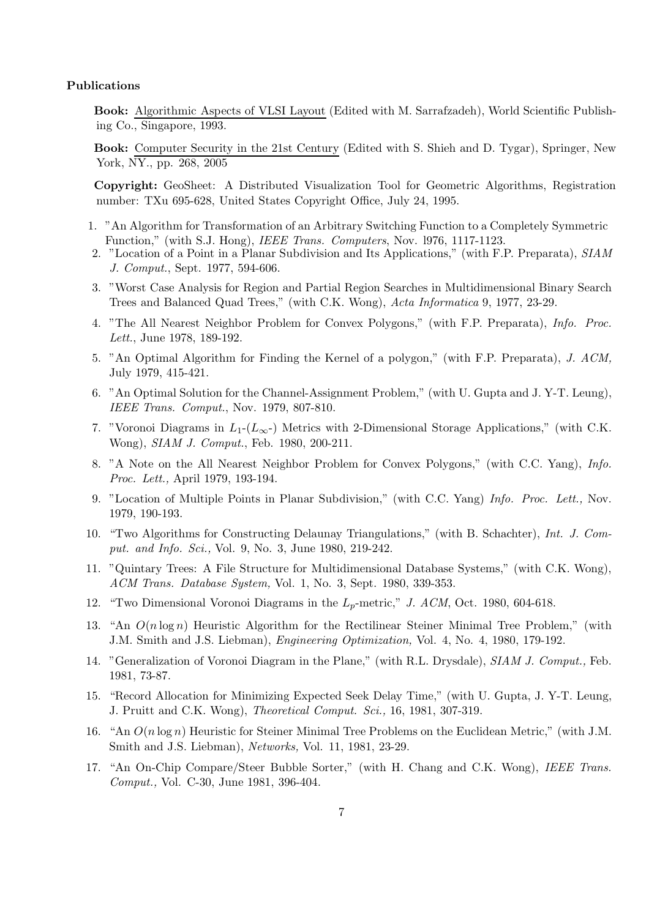#### Publications

Book: Algorithmic Aspects of VLSI Layout (Edited with M. Sarrafzadeh), World Scientific Publishing Co., Singapore, 1993.

Book: Computer Security in the 21st Century (Edited with S. Shieh and D. Tygar), Springer, New York, NY., pp. 268, 2005

Copyright: GeoSheet: A Distributed Visualization Tool for Geometric Algorithms, Registration number: TXu 695-628, United States Copyright Office, July 24, 1995.

- 1. "An Algorithm for Transformation of an Arbitrary Switching Function to a Completely Symmetric Function," (with S.J. Hong), IEEE Trans. Computers, Nov. l976, 1117-1123.
- 2. "Location of a Point in a Planar Subdivision and Its Applications," (with F.P. Preparata), SIAM J. Comput., Sept. 1977, 594-606.
- 3. "Worst Case Analysis for Region and Partial Region Searches in Multidimensional Binary Search Trees and Balanced Quad Trees," (with C.K. Wong), Acta Informatica 9, 1977, 23-29.
- 4. "The All Nearest Neighbor Problem for Convex Polygons," (with F.P. Preparata), Info. Proc. Lett., June 1978, 189-192.
- 5. "An Optimal Algorithm for Finding the Kernel of a polygon," (with F.P. Preparata), J. ACM, July 1979, 415-421.
- 6. "An Optimal Solution for the Channel-Assignment Problem," (with U. Gupta and J. Y-T. Leung), IEEE Trans. Comput., Nov. 1979, 807-810.
- 7. "Voronoi Diagrams in  $L_1$ - $(L_{\infty}$ -) Metrics with 2-Dimensional Storage Applications," (with C.K. Wong), SIAM J. Comput., Feb. 1980, 200-211.
- 8. "A Note on the All Nearest Neighbor Problem for Convex Polygons," (with C.C. Yang), Info. Proc. Lett., April 1979, 193-194.
- 9. "Location of Multiple Points in Planar Subdivision," (with C.C. Yang) Info. Proc. Lett., Nov. 1979, 190-193.
- 10. "Two Algorithms for Constructing Delaunay Triangulations," (with B. Schachter), Int. J. Comput. and Info. Sci., Vol. 9, No. 3, June 1980, 219-242.
- 11. "Quintary Trees: A File Structure for Multidimensional Database Systems," (with C.K. Wong), ACM Trans. Database System, Vol. 1, No. 3, Sept. 1980, 339-353.
- 12. "Two Dimensional Voronoi Diagrams in the  $L_p$ -metric," J. ACM, Oct. 1980, 604-618.
- 13. "An  $O(n \log n)$  Heuristic Algorithm for the Rectilinear Steiner Minimal Tree Problem," (with J.M. Smith and J.S. Liebman), Engineering Optimization, Vol. 4, No. 4, 1980, 179-192.
- 14. "Generalization of Voronoi Diagram in the Plane," (with R.L. Drysdale), SIAM J. Comput., Feb. 1981, 73-87.
- 15. "Record Allocation for Minimizing Expected Seek Delay Time," (with U. Gupta, J. Y-T. Leung, J. Pruitt and C.K. Wong), Theoretical Comput. Sci., 16, 1981, 307-319.
- 16. "An  $O(n \log n)$  Heuristic for Steiner Minimal Tree Problems on the Euclidean Metric," (with J.M. Smith and J.S. Liebman), Networks, Vol. 11, 1981, 23-29.
- 17. "An On-Chip Compare/Steer Bubble Sorter," (with H. Chang and C.K. Wong), IEEE Trans. Comput., Vol. C-30, June 1981, 396-404.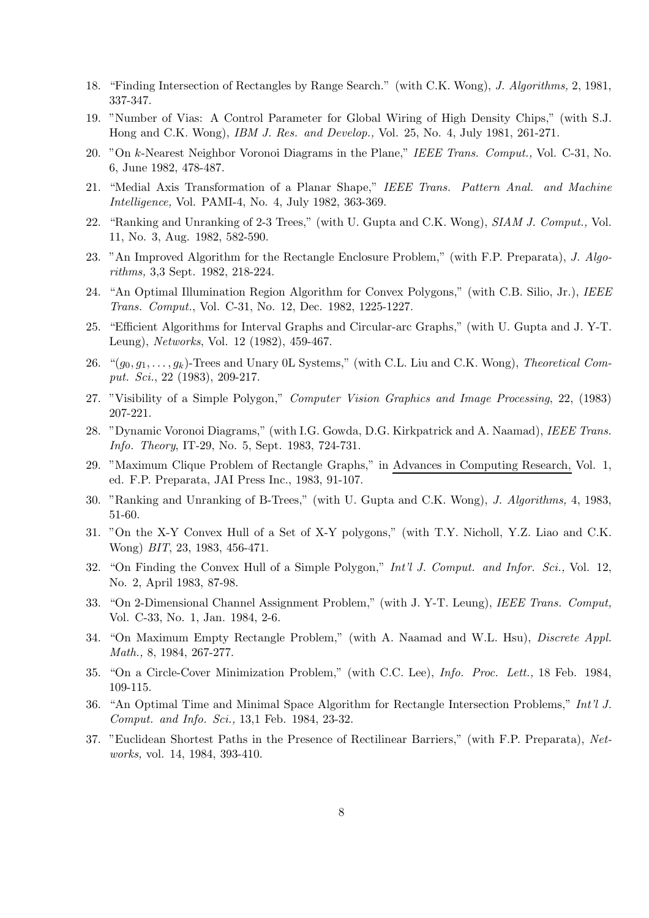- 18. "Finding Intersection of Rectangles by Range Search." (with C.K. Wong), J. Algorithms, 2, 1981, 337-347.
- 19. "Number of Vias: A Control Parameter for Global Wiring of High Density Chips," (with S.J. Hong and C.K. Wong), IBM J. Res. and Develop., Vol. 25, No. 4, July 1981, 261-271.
- 20. "On k-Nearest Neighbor Voronoi Diagrams in the Plane," IEEE Trans. Comput., Vol. C-31, No. 6, June 1982, 478-487.
- 21. "Medial Axis Transformation of a Planar Shape," IEEE Trans. Pattern Anal. and Machine Intelligence, Vol. PAMI-4, No. 4, July 1982, 363-369.
- 22. "Ranking and Unranking of 2-3 Trees," (with U. Gupta and C.K. Wong), SIAM J. Comput., Vol. 11, No. 3, Aug. 1982, 582-590.
- 23. "An Improved Algorithm for the Rectangle Enclosure Problem," (with F.P. Preparata), J. Algorithms, 3,3 Sept. 1982, 218-224.
- 24. "An Optimal Illumination Region Algorithm for Convex Polygons," (with C.B. Silio, Jr.), IEEE Trans. Comput., Vol. C-31, No. 12, Dec. 1982, 1225-1227.
- 25. "Efficient Algorithms for Interval Graphs and Circular-arc Graphs," (with U. Gupta and J. Y-T. Leung), Networks, Vol. 12 (1982), 459-467.
- 26. " $(g_0, g_1, \ldots, g_k)$ -Trees and Unary 0L Systems," (with C.L. Liu and C.K. Wong), Theoretical Comput. Sci., 22 (1983), 209-217.
- 27. "Visibility of a Simple Polygon," Computer Vision Graphics and Image Processing, 22, (1983) 207-221.
- 28. "Dynamic Voronoi Diagrams," (with I.G. Gowda, D.G. Kirkpatrick and A. Naamad), IEEE Trans. Info. Theory, IT-29, No. 5, Sept. 1983, 724-731.
- 29. "Maximum Clique Problem of Rectangle Graphs," in Advances in Computing Research, Vol. 1, ed. F.P. Preparata, JAI Press Inc., 1983, 91-107.
- 30. "Ranking and Unranking of B-Trees," (with U. Gupta and C.K. Wong), J. Algorithms, 4, 1983, 51-60.
- 31. "On the X-Y Convex Hull of a Set of X-Y polygons," (with T.Y. Nicholl, Y.Z. Liao and C.K. Wong) BIT, 23, 1983, 456-471.
- 32. "On Finding the Convex Hull of a Simple Polygon," Int'l J. Comput. and Infor. Sci., Vol. 12, No. 2, April 1983, 87-98.
- 33. "On 2-Dimensional Channel Assignment Problem," (with J. Y-T. Leung), IEEE Trans. Comput, Vol. C-33, No. 1, Jan. 1984, 2-6.
- 34. "On Maximum Empty Rectangle Problem," (with A. Naamad and W.L. Hsu), Discrete Appl. Math., 8, 1984, 267-277.
- 35. "On a Circle-Cover Minimization Problem," (with C.C. Lee), Info. Proc. Lett., 18 Feb. 1984, 109-115.
- 36. "An Optimal Time and Minimal Space Algorithm for Rectangle Intersection Problems," Int'l J. Comput. and Info. Sci., 13,1 Feb. 1984, 23-32.
- 37. "Euclidean Shortest Paths in the Presence of Rectilinear Barriers," (with F.P. Preparata), Networks, vol. 14, 1984, 393-410.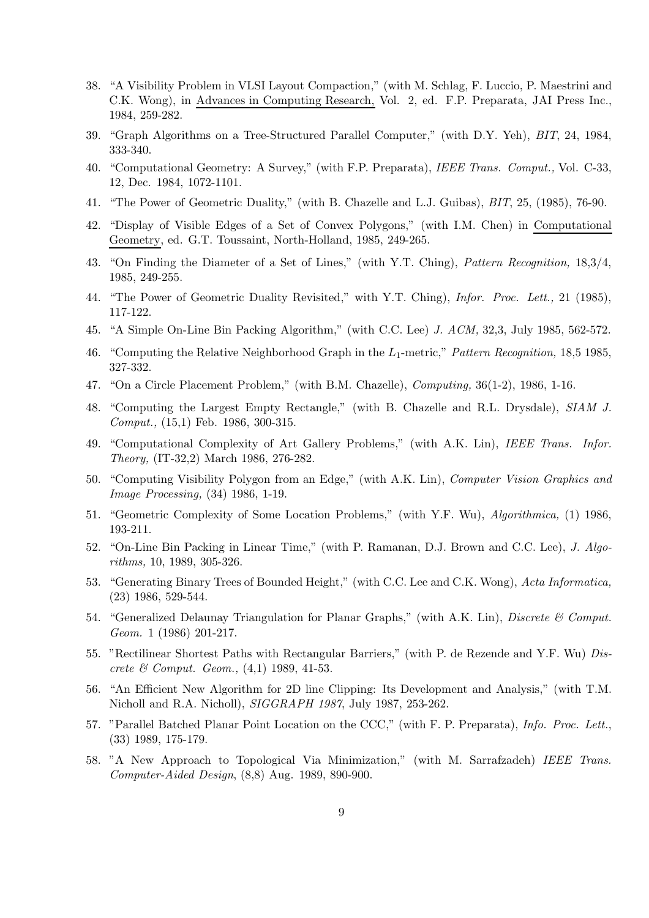- 38. "A Visibility Problem in VLSI Layout Compaction," (with M. Schlag, F. Luccio, P. Maestrini and C.K. Wong), in Advances in Computing Research, Vol. 2, ed. F.P. Preparata, JAI Press Inc., 1984, 259-282.
- 39. "Graph Algorithms on a Tree-Structured Parallel Computer," (with D.Y. Yeh), BIT, 24, 1984, 333-340.
- 40. "Computational Geometry: A Survey," (with F.P. Preparata), IEEE Trans. Comput., Vol. C-33, 12, Dec. 1984, 1072-1101.
- 41. "The Power of Geometric Duality," (with B. Chazelle and L.J. Guibas), BIT, 25, (1985), 76-90.
- 42. "Display of Visible Edges of a Set of Convex Polygons," (with I.M. Chen) in Computational Geometry, ed. G.T. Toussaint, North-Holland, 1985, 249-265.
- 43. "On Finding the Diameter of a Set of Lines," (with Y.T. Ching), Pattern Recognition, 18,3/4, 1985, 249-255.
- 44. "The Power of Geometric Duality Revisited," with Y.T. Ching), Infor. Proc. Lett., 21 (1985), 117-122.
- 45. "A Simple On-Line Bin Packing Algorithm," (with C.C. Lee) J. ACM, 32,3, July 1985, 562-572.
- 46. "Computing the Relative Neighborhood Graph in the  $L_1$ -metric," Pattern Recognition, 18,5 1985, 327-332.
- 47. "On a Circle Placement Problem," (with B.M. Chazelle), Computing, 36(1-2), 1986, 1-16.
- 48. "Computing the Largest Empty Rectangle," (with B. Chazelle and R.L. Drysdale), SIAM J. Comput., (15,1) Feb. 1986, 300-315.
- 49. "Computational Complexity of Art Gallery Problems," (with A.K. Lin), IEEE Trans. Infor. Theory, (IT-32,2) March 1986, 276-282.
- 50. "Computing Visibility Polygon from an Edge," (with A.K. Lin), Computer Vision Graphics and Image Processing, (34) 1986, 1-19.
- 51. "Geometric Complexity of Some Location Problems," (with Y.F. Wu), Algorithmica, (1) 1986, 193-211.
- 52. "On-Line Bin Packing in Linear Time," (with P. Ramanan, D.J. Brown and C.C. Lee), J. Algorithms, 10, 1989, 305-326.
- 53. "Generating Binary Trees of Bounded Height," (with C.C. Lee and C.K. Wong), Acta Informatica, (23) 1986, 529-544.
- 54. "Generalized Delaunay Triangulation for Planar Graphs," (with A.K. Lin), Discrete & Comput. Geom. 1 (1986) 201-217.
- 55. "Rectilinear Shortest Paths with Rectangular Barriers," (with P. de Rezende and Y.F. Wu) Discrete & Comput. Geom., (4,1) 1989, 41-53.
- 56. "An Efficient New Algorithm for 2D line Clipping: Its Development and Analysis," (with T.M. Nicholl and R.A. Nicholl), SIGGRAPH 1987, July 1987, 253-262.
- 57. "Parallel Batched Planar Point Location on the CCC," (with F. P. Preparata), Info. Proc. Lett., (33) 1989, 175-179.
- 58. "A New Approach to Topological Via Minimization," (with M. Sarrafzadeh) IEEE Trans. Computer-Aided Design, (8,8) Aug. 1989, 890-900.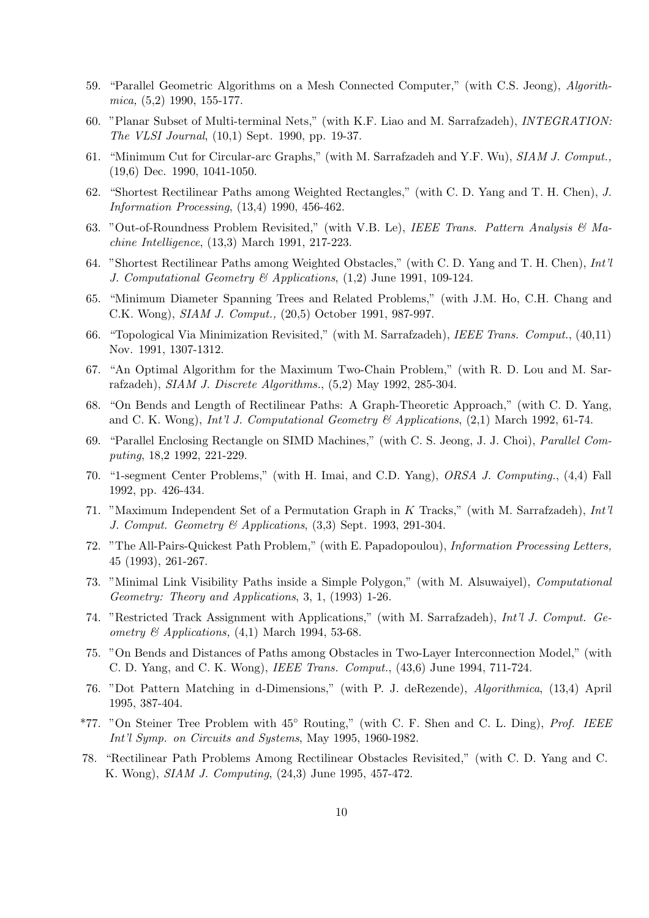- 59. "Parallel Geometric Algorithms on a Mesh Connected Computer," (with C.S. Jeong), Algorithmica, (5,2) 1990, 155-177.
- 60. "Planar Subset of Multi-terminal Nets," (with K.F. Liao and M. Sarrafzadeh), INTEGRATION: The VLSI Journal, (10,1) Sept. 1990, pp. 19-37.
- 61. "Minimum Cut for Circular-arc Graphs," (with M. Sarrafzadeh and Y.F. Wu), SIAM J. Comput., (19,6) Dec. 1990, 1041-1050.
- 62. "Shortest Rectilinear Paths among Weighted Rectangles," (with C. D. Yang and T. H. Chen), J. Information Processing, (13,4) 1990, 456-462.
- 63. "Out-of-Roundness Problem Revisited," (with V.B. Le), IEEE Trans. Pattern Analysis & Machine Intelligence, (13,3) March 1991, 217-223.
- 64. "Shortest Rectilinear Paths among Weighted Obstacles," (with C. D. Yang and T. H. Chen), Int'l J. Computational Geometry & Applications, (1,2) June 1991, 109-124.
- 65. "Minimum Diameter Spanning Trees and Related Problems," (with J.M. Ho, C.H. Chang and C.K. Wong), SIAM J. Comput., (20,5) October 1991, 987-997.
- 66. "Topological Via Minimization Revisited," (with M. Sarrafzadeh), IEEE Trans. Comput., (40,11) Nov. 1991, 1307-1312.
- 67. "An Optimal Algorithm for the Maximum Two-Chain Problem," (with R. D. Lou and M. Sarrafzadeh), SIAM J. Discrete Algorithms., (5,2) May 1992, 285-304.
- 68. "On Bends and Length of Rectilinear Paths: A Graph-Theoretic Approach," (with C. D. Yang, and C. K. Wong), *Int'l J. Computational Geometry*  $\mathcal{C}$  *Applications*, (2,1) March 1992, 61-74.
- 69. "Parallel Enclosing Rectangle on SIMD Machines," (with C. S. Jeong, J. J. Choi), Parallel Computing, 18,2 1992, 221-229.
- 70. "1-segment Center Problems," (with H. Imai, and C.D. Yang), ORSA J. Computing., (4,4) Fall 1992, pp. 426-434.
- 71. "Maximum Independent Set of a Permutation Graph in K Tracks," (with M. Sarrafzadeh), Int'l J. Comput. Geometry & Applications, (3,3) Sept. 1993, 291-304.
- 72. "The All-Pairs-Quickest Path Problem," (with E. Papadopoulou), Information Processing Letters, 45 (1993), 261-267.
- 73. "Minimal Link Visibility Paths inside a Simple Polygon," (with M. Alsuwaiyel), Computational Geometry: Theory and Applications, 3, 1, (1993) 1-26.
- 74. "Restricted Track Assignment with Applications," (with M. Sarrafzadeh), Int'l J. Comput. Geometry  $\mathcal{C}$  Applications, (4,1) March 1994, 53-68.
- 75. "On Bends and Distances of Paths among Obstacles in Two-Layer Interconnection Model," (with C. D. Yang, and C. K. Wong), IEEE Trans. Comput., (43,6) June 1994, 711-724.
- 76. "Dot Pattern Matching in d-Dimensions," (with P. J. deRezende), Algorithmica, (13,4) April 1995, 387-404.
- \*77. "On Steiner Tree Problem with 45◦ Routing," (with C. F. Shen and C. L. Ding), Prof. IEEE Int'l Symp. on Circuits and Systems, May 1995, 1960-1982.
- 78. "Rectilinear Path Problems Among Rectilinear Obstacles Revisited," (with C. D. Yang and C. K. Wong), SIAM J. Computing, (24,3) June 1995, 457-472.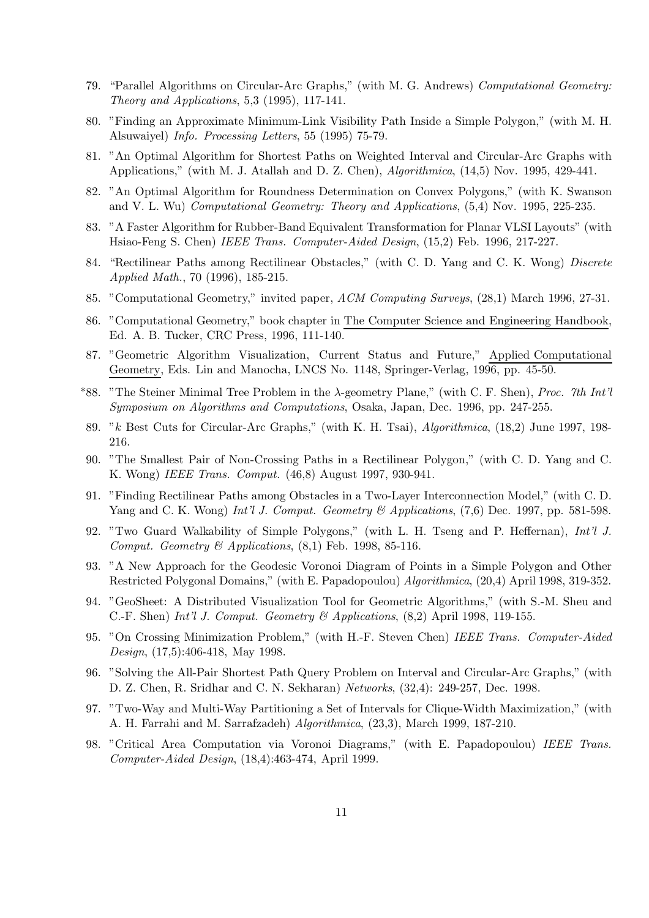- 79. "Parallel Algorithms on Circular-Arc Graphs," (with M. G. Andrews) Computational Geometry: Theory and Applications, 5,3 (1995), 117-141.
- 80. "Finding an Approximate Minimum-Link Visibility Path Inside a Simple Polygon," (with M. H. Alsuwaiyel) Info. Processing Letters, 55 (1995) 75-79.
- 81. "An Optimal Algorithm for Shortest Paths on Weighted Interval and Circular-Arc Graphs with Applications," (with M. J. Atallah and D. Z. Chen), Algorithmica, (14,5) Nov. 1995, 429-441.
- 82. "An Optimal Algorithm for Roundness Determination on Convex Polygons," (with K. Swanson and V. L. Wu) Computational Geometry: Theory and Applications, (5,4) Nov. 1995, 225-235.
- 83. "A Faster Algorithm for Rubber-Band Equivalent Transformation for Planar VLSI Layouts" (with Hsiao-Feng S. Chen) IEEE Trans. Computer-Aided Design, (15,2) Feb. 1996, 217-227.
- 84. "Rectilinear Paths among Rectilinear Obstacles," (with C. D. Yang and C. K. Wong) Discrete Applied Math., 70 (1996), 185-215.
- 85. "Computational Geometry," invited paper, ACM Computing Surveys, (28,1) March 1996, 27-31.
- 86. "Computational Geometry," book chapter in The Computer Science and Engineering Handbook, Ed. A. B. Tucker, CRC Press, 1996, 111-140.
- 87. "Geometric Algorithm Visualization, Current Status and Future," Applied Computational Geometry, Eds. Lin and Manocha, LNCS No. 1148, Springer-Verlag, 1996, pp. 45-50.
- \*88. "The Steiner Minimal Tree Problem in the  $\lambda$ -geometry Plane," (with C. F. Shen), Proc. 7th Int'l Symposium on Algorithms and Computations, Osaka, Japan, Dec. 1996, pp. 247-255.
- 89. "k Best Cuts for Circular-Arc Graphs," (with K. H. Tsai), Algorithmica, (18,2) June 1997, 198- 216.
- 90. "The Smallest Pair of Non-Crossing Paths in a Rectilinear Polygon," (with C. D. Yang and C. K. Wong) IEEE Trans. Comput. (46,8) August 1997, 930-941.
- 91. "Finding Rectilinear Paths among Obstacles in a Two-Layer Interconnection Model," (with C. D. Yang and C. K. Wong) Int'l J. Comput. Geometry & Applications,  $(7,6)$  Dec. 1997, pp. 581-598.
- 92. "Two Guard Walkability of Simple Polygons," (with L. H. Tseng and P. Heffernan), Int'l J. Comput. Geometry & Applications,  $(8,1)$  Feb. 1998, 85-116.
- 93. "A New Approach for the Geodesic Voronoi Diagram of Points in a Simple Polygon and Other Restricted Polygonal Domains," (with E. Papadopoulou) Algorithmica, (20,4) April 1998, 319-352.
- 94. "GeoSheet: A Distributed Visualization Tool for Geometric Algorithms," (with S.-M. Sheu and C.-F. Shen) Int'l J. Comput. Geometry  $\mathcal{C}$  Applications, (8,2) April 1998, 119-155.
- 95. "On Crossing Minimization Problem," (with H.-F. Steven Chen) IEEE Trans. Computer-Aided Design, (17,5):406-418, May 1998.
- 96. "Solving the All-Pair Shortest Path Query Problem on Interval and Circular-Arc Graphs," (with D. Z. Chen, R. Sridhar and C. N. Sekharan) Networks, (32,4): 249-257, Dec. 1998.
- 97. "Two-Way and Multi-Way Partitioning a Set of Intervals for Clique-Width Maximization," (with A. H. Farrahi and M. Sarrafzadeh) Algorithmica, (23,3), March 1999, 187-210.
- 98. "Critical Area Computation via Voronoi Diagrams," (with E. Papadopoulou) IEEE Trans. Computer-Aided Design, (18,4):463-474, April 1999.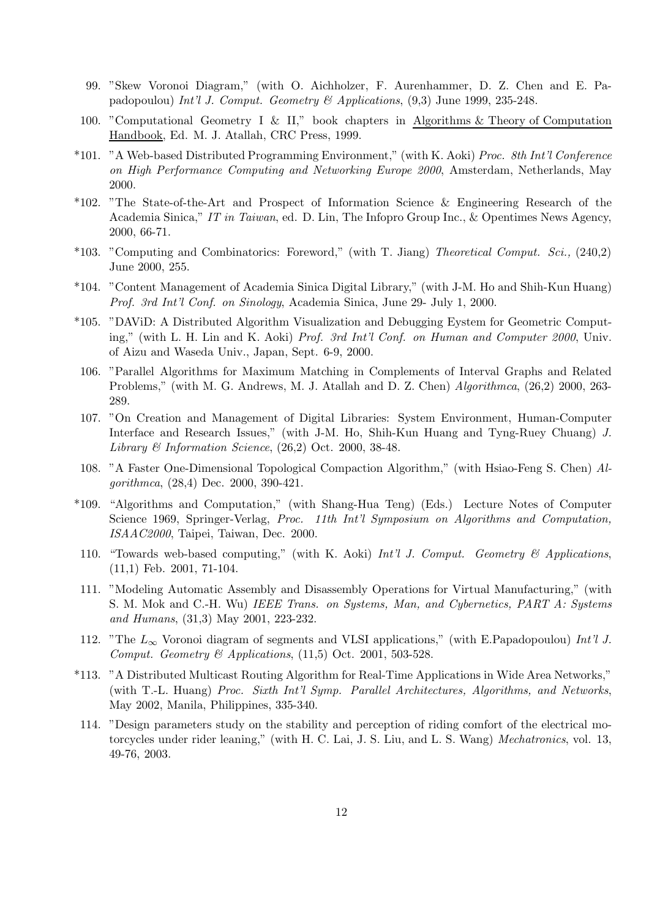- 99. "Skew Voronoi Diagram," (with O. Aichholzer, F. Aurenhammer, D. Z. Chen and E. Papadopoulou) Int'l J. Comput. Geometry & Applications, (9,3) June 1999, 235-248.
- 100. "Computational Geometry I & II," book chapters in Algorithms & Theory of Computation Handbook, Ed. M. J. Atallah, CRC Press, 1999.
- \*101. "A Web-based Distributed Programming Environment," (with K. Aoki) Proc. 8th Int'l Conference on High Performance Computing and Networking Europe 2000, Amsterdam, Netherlands, May 2000.
- \*102. "The State-of-the-Art and Prospect of Information Science & Engineering Research of the Academia Sinica," IT in Taiwan, ed. D. Lin, The Infopro Group Inc., & Opentimes News Agency, 2000, 66-71.
- \*103. "Computing and Combinatorics: Foreword," (with T. Jiang) Theoretical Comput. Sci., (240,2) June 2000, 255.
- \*104. "Content Management of Academia Sinica Digital Library," (with J-M. Ho and Shih-Kun Huang) Prof. 3rd Int'l Conf. on Sinology, Academia Sinica, June 29- July 1, 2000.
- \*105. "DAViD: A Distributed Algorithm Visualization and Debugging Eystem for Geometric Computing," (with L. H. Lin and K. Aoki) Prof. 3rd Int'l Conf. on Human and Computer 2000, Univ. of Aizu and Waseda Univ., Japan, Sept. 6-9, 2000.
- 106. "Parallel Algorithms for Maximum Matching in Complements of Interval Graphs and Related Problems," (with M. G. Andrews, M. J. Atallah and D. Z. Chen) Algorithmca,  $(26,2)$  2000, 263-289.
- 107. "On Creation and Management of Digital Libraries: System Environment, Human-Computer Interface and Research Issues," (with J-M. Ho, Shih-Kun Huang and Tyng-Ruey Chuang) J. Library & Information Science,  $(26.2)$  Oct. 2000, 38-48.
- 108. "A Faster One-Dimensional Topological Compaction Algorithm," (with Hsiao-Feng S. Chen) Algorithmca, (28,4) Dec. 2000, 390-421.
- \*109. "Algorithms and Computation," (with Shang-Hua Teng) (Eds.) Lecture Notes of Computer Science 1969, Springer-Verlag, Proc. 11th Int'l Symposium on Algorithms and Computation, ISAAC2000, Taipei, Taiwan, Dec. 2000.
- 110. "Towards web-based computing," (with K. Aoki) Int'l J. Comput. Geometry & Applications, (11,1) Feb. 2001, 71-104.
- 111. "Modeling Automatic Assembly and Disassembly Operations for Virtual Manufacturing," (with S. M. Mok and C.-H. Wu) IEEE Trans. on Systems, Man, and Cybernetics, PART A: Systems and Humans, (31,3) May 2001, 223-232.
- 112. "The  $L_{\infty}$  Voronoi diagram of segments and VLSI applications," (with E.Papadopoulou) Int'l J. Comput. Geometry  $\mathcal B$  Applications, (11,5) Oct. 2001, 503-528.
- \*113. "A Distributed Multicast Routing Algorithm for Real-Time Applications in Wide Area Networks," (with T.-L. Huang) Proc. Sixth Int'l Symp. Parallel Architectures, Algorithms, and Networks, May 2002, Manila, Philippines, 335-340.
- 114. "Design parameters study on the stability and perception of riding comfort of the electrical motorcycles under rider leaning," (with H. C. Lai, J. S. Liu, and L. S. Wang) Mechatronics, vol. 13, 49-76, 2003.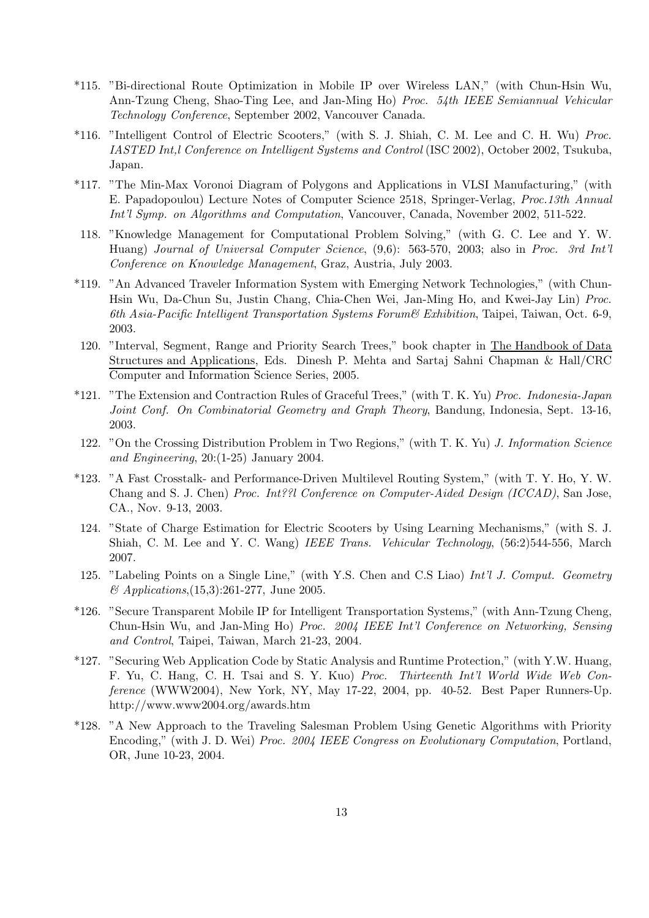- \*115. "Bi-directional Route Optimization in Mobile IP over Wireless LAN," (with Chun-Hsin Wu, Ann-Tzung Cheng, Shao-Ting Lee, and Jan-Ming Ho) Proc. 54th IEEE Semiannual Vehicular Technology Conference, September 2002, Vancouver Canada.
- \*116. "Intelligent Control of Electric Scooters," (with S. J. Shiah, C. M. Lee and C. H. Wu) Proc. IASTED Int,l Conference on Intelligent Systems and Control (ISC 2002), October 2002, Tsukuba, Japan.
- \*117. "The Min-Max Voronoi Diagram of Polygons and Applications in VLSI Manufacturing," (with E. Papadopoulou) Lecture Notes of Computer Science 2518, Springer-Verlag, Proc.13th Annual Int'l Symp. on Algorithms and Computation, Vancouver, Canada, November 2002, 511-522.
- 118. "Knowledge Management for Computational Problem Solving," (with G. C. Lee and Y. W. Huang) Journal of Universal Computer Science, (9,6): 563-570, 2003; also in Proc. 3rd Int'l Conference on Knowledge Management, Graz, Austria, July 2003.
- \*119. "An Advanced Traveler Information System with Emerging Network Technologies," (with Chun-Hsin Wu, Da-Chun Su, Justin Chang, Chia-Chen Wei, Jan-Ming Ho, and Kwei-Jay Lin) Proc. 6th Asia-Pacific Intelligent Transportation Systems Forum & Exhibition, Taipei, Taiwan, Oct. 6-9, 2003.
- 120. "Interval, Segment, Range and Priority Search Trees," book chapter in The Handbook of Data Structures and Applications, Eds. Dinesh P. Mehta and Sartaj Sahni Chapman & Hall/CRC Computer and Information Science Series, 2005.
- \*121. "The Extension and Contraction Rules of Graceful Trees," (with T. K. Yu) Proc. Indonesia-Japan Joint Conf. On Combinatorial Geometry and Graph Theory, Bandung, Indonesia, Sept. 13-16, 2003.
- 122. "On the Crossing Distribution Problem in Two Regions," (with T. K. Yu) J. Information Science and Engineering, 20:(1-25) January 2004.
- \*123. "A Fast Crosstalk- and Performance-Driven Multilevel Routing System," (with T. Y. Ho, Y. W. Chang and S. J. Chen) Proc. Int??l Conference on Computer-Aided Design (ICCAD), San Jose, CA., Nov. 9-13, 2003.
- 124. "State of Charge Estimation for Electric Scooters by Using Learning Mechanisms," (with S. J. Shiah, C. M. Lee and Y. C. Wang) IEEE Trans. Vehicular Technology, (56:2)544-556, March 2007.
- 125. "Labeling Points on a Single Line," (with Y.S. Chen and C.S Liao) Int'l J. Comput. Geometry & Applications,(15,3):261-277, June 2005.
- \*126. "Secure Transparent Mobile IP for Intelligent Transportation Systems," (with Ann-Tzung Cheng, Chun-Hsin Wu, and Jan-Ming Ho) Proc. 2004 IEEE Int'l Conference on Networking, Sensing and Control, Taipei, Taiwan, March 21-23, 2004.
- \*127. "Securing Web Application Code by Static Analysis and Runtime Protection," (with Y.W. Huang, F. Yu, C. Hang, C. H. Tsai and S. Y. Kuo) Proc. Thirteenth Int'l World Wide Web Conference (WWW2004), New York, NY, May 17-22, 2004, pp. 40-52. Best Paper Runners-Up. http://www.www2004.org/awards.htm
- \*128. "A New Approach to the Traveling Salesman Problem Using Genetic Algorithms with Priority Encoding," (with J. D. Wei) Proc. 2004 IEEE Congress on Evolutionary Computation, Portland, OR, June 10-23, 2004.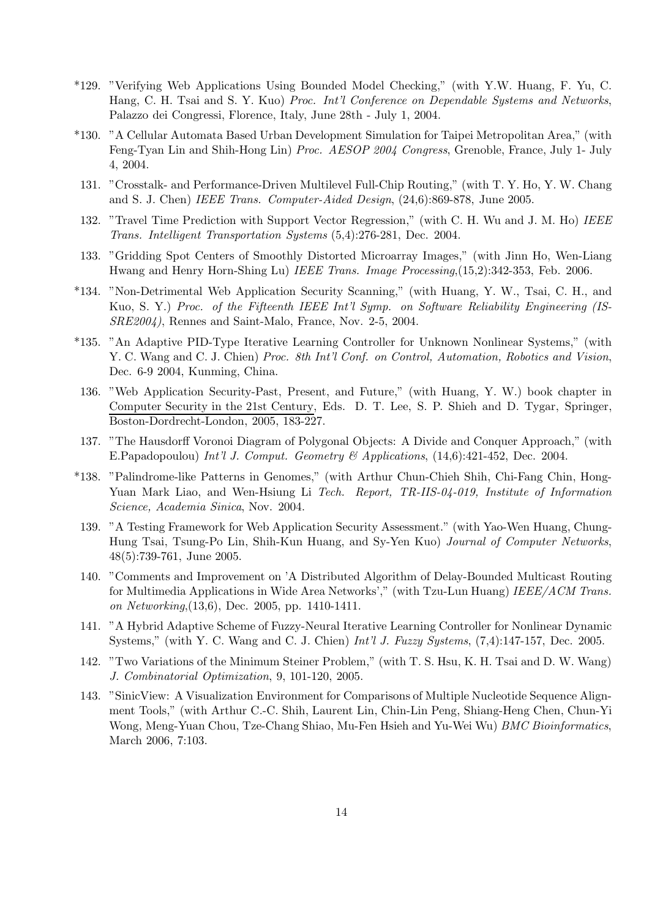- \*129. "Verifying Web Applications Using Bounded Model Checking," (with Y.W. Huang, F. Yu, C. Hang, C. H. Tsai and S. Y. Kuo) Proc. Int'l Conference on Dependable Systems and Networks, Palazzo dei Congressi, Florence, Italy, June 28th - July 1, 2004.
- \*130. "A Cellular Automata Based Urban Development Simulation for Taipei Metropolitan Area," (with Feng-Tyan Lin and Shih-Hong Lin) Proc. AESOP 2004 Congress, Grenoble, France, July 1- July 4, 2004.
- 131. "Crosstalk- and Performance-Driven Multilevel Full-Chip Routing," (with T. Y. Ho, Y. W. Chang and S. J. Chen) IEEE Trans. Computer-Aided Design, (24,6):869-878, June 2005.
- 132. "Travel Time Prediction with Support Vector Regression," (with C. H. Wu and J. M. Ho) IEEE Trans. Intelligent Transportation Systems (5,4):276-281, Dec. 2004.
- 133. "Gridding Spot Centers of Smoothly Distorted Microarray Images," (with Jinn Ho, Wen-Liang Hwang and Henry Horn-Shing Lu) IEEE Trans. Image Processing,(15,2):342-353, Feb. 2006.
- \*134. "Non-Detrimental Web Application Security Scanning," (with Huang, Y. W., Tsai, C. H., and Kuo, S. Y.) Proc. of the Fifteenth IEEE Int'l Symp. on Software Reliability Engineering (IS-SRE2004), Rennes and Saint-Malo, France, Nov. 2-5, 2004.
- \*135. "An Adaptive PID-Type Iterative Learning Controller for Unknown Nonlinear Systems," (with Y. C. Wang and C. J. Chien) Proc. 8th Int'l Conf. on Control, Automation, Robotics and Vision, Dec. 6-9 2004, Kunming, China.
- 136. "Web Application Security-Past, Present, and Future," (with Huang, Y. W.) book chapter in Computer Security in the 21st Century, Eds. D. T. Lee, S. P. Shieh and D. Tygar, Springer, Boston-Dordrecht-London, 2005, 183-227.
- 137. "The Hausdorff Voronoi Diagram of Polygonal Objects: A Divide and Conquer Approach," (with E.Papadopoulou) Int'l J. Comput. Geometry & Applications, (14,6):421-452, Dec. 2004.
- \*138. "Palindrome-like Patterns in Genomes," (with Arthur Chun-Chieh Shih, Chi-Fang Chin, Hong-Yuan Mark Liao, and Wen-Hsiung Li Tech. Report, TR-IIS-04-019, Institute of Information Science, Academia Sinica, Nov. 2004.
- 139. "A Testing Framework for Web Application Security Assessment." (with Yao-Wen Huang, Chung-Hung Tsai, Tsung-Po Lin, Shih-Kun Huang, and Sy-Yen Kuo) Journal of Computer Networks, 48(5):739-761, June 2005.
- 140. "Comments and Improvement on 'A Distributed Algorithm of Delay-Bounded Multicast Routing for Multimedia Applications in Wide Area Networks'," (with Tzu-Lun Huang) IEEE/ACM Trans. on Networking,(13,6), Dec. 2005, pp. 1410-1411.
- 141. "A Hybrid Adaptive Scheme of Fuzzy-Neural Iterative Learning Controller for Nonlinear Dynamic Systems," (with Y. C. Wang and C. J. Chien) Int'l J. Fuzzy Systems, (7,4):147-157, Dec. 2005.
- 142. "Two Variations of the Minimum Steiner Problem," (with T. S. Hsu, K. H. Tsai and D. W. Wang) J. Combinatorial Optimization, 9, 101-120, 2005.
- 143. "SinicView: A Visualization Environment for Comparisons of Multiple Nucleotide Sequence Alignment Tools," (with Arthur C.-C. Shih, Laurent Lin, Chin-Lin Peng, Shiang-Heng Chen, Chun-Yi Wong, Meng-Yuan Chou, Tze-Chang Shiao, Mu-Fen Hsieh and Yu-Wei Wu) BMC Bioinformatics, March 2006, 7:103.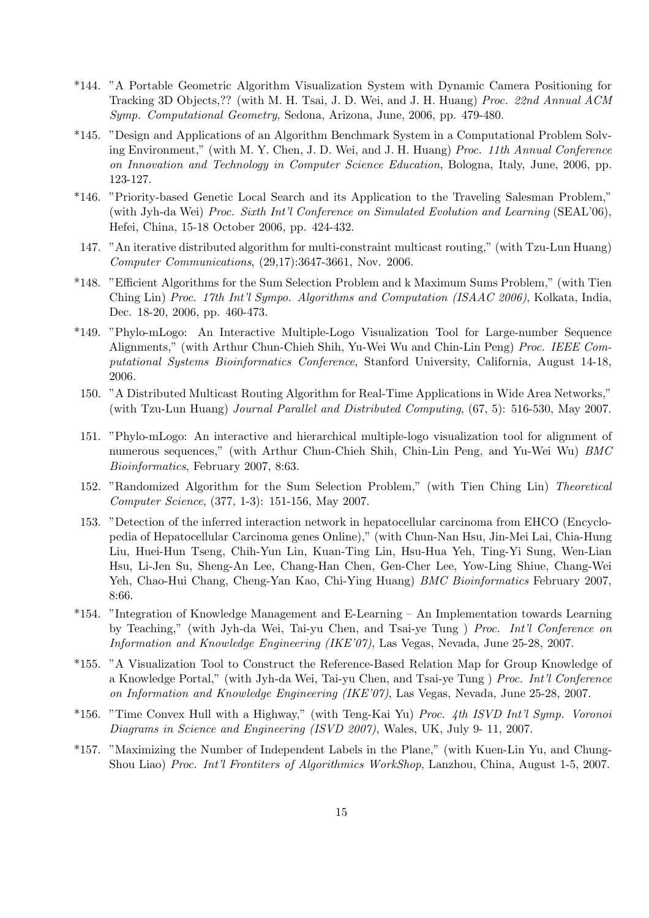- \*144. "A Portable Geometric Algorithm Visualization System with Dynamic Camera Positioning for Tracking 3D Objects,?? (with M. H. Tsai, J. D. Wei, and J. H. Huang) Proc. 22nd Annual ACM Symp. Computational Geometry, Sedona, Arizona, June, 2006, pp. 479-480.
- \*145. "Design and Applications of an Algorithm Benchmark System in a Computational Problem Solving Environment," (with M. Y. Chen, J. D. Wei, and J. H. Huang) Proc. 11th Annual Conference on Innovation and Technology in Computer Science Education, Bologna, Italy, June, 2006, pp. 123-127.
- \*146. "Priority-based Genetic Local Search and its Application to the Traveling Salesman Problem," (with Jyh-da Wei) Proc. Sixth Int'l Conference on Simulated Evolution and Learning (SEAL'06), Hefei, China, 15-18 October 2006, pp. 424-432.
- 147. "An iterative distributed algorithm for multi-constraint multicast routing," (with Tzu-Lun Huang) Computer Communications, (29,17):3647-3661, Nov. 2006.
- \*148. "Efficient Algorithms for the Sum Selection Problem and k Maximum Sums Problem," (with Tien Ching Lin) Proc. 17th Int'l Sympo. Algorithms and Computation (ISAAC 2006), Kolkata, India, Dec. 18-20, 2006, pp. 460-473.
- \*149. "Phylo-mLogo: An Interactive Multiple-Logo Visualization Tool for Large-number Sequence Alignments," (with Arthur Chun-Chieh Shih, Yu-Wei Wu and Chin-Lin Peng) Proc. IEEE Computational Systems Bioinformatics Conference, Stanford University, California, August 14-18, 2006.
- 150. "A Distributed Multicast Routing Algorithm for Real-Time Applications in Wide Area Networks," (with Tzu-Lun Huang) Journal Parallel and Distributed Computing, (67, 5): 516-530, May 2007.
- 151. "Phylo-mLogo: An interactive and hierarchical multiple-logo visualization tool for alignment of numerous sequences," (with Arthur Chun-Chieh Shih, Chin-Lin Peng, and Yu-Wei Wu) BMC Bioinformatics, February 2007, 8:63.
- 152. "Randomized Algorithm for the Sum Selection Problem," (with Tien Ching Lin) Theoretical Computer Science, (377, 1-3): 151-156, May 2007.
- 153. "Detection of the inferred interaction network in hepatocellular carcinoma from EHCO (Encyclopedia of Hepatocellular Carcinoma genes Online)," (with Chun-Nan Hsu, Jin-Mei Lai, Chia-Hung Liu, Huei-Hun Tseng, Chih-Yun Lin, Kuan-Ting Lin, Hsu-Hua Yeh, Ting-Yi Sung, Wen-Lian Hsu, Li-Jen Su, Sheng-An Lee, Chang-Han Chen, Gen-Cher Lee, Yow-Ling Shiue, Chang-Wei Yeh, Chao-Hui Chang, Cheng-Yan Kao, Chi-Ying Huang) BMC Bioinformatics February 2007, 8:66.
- \*154. "Integration of Knowledge Management and E-Learning An Implementation towards Learning by Teaching," (with Jyh-da Wei, Tai-yu Chen, and Tsai-ye Tung ) Proc. Int'l Conference on Information and Knowledge Engineering (IKE'07), Las Vegas, Nevada, June 25-28, 2007.
- \*155. "A Visualization Tool to Construct the Reference-Based Relation Map for Group Knowledge of a Knowledge Portal," (with Jyh-da Wei, Tai-yu Chen, and Tsai-ye Tung ) Proc. Int'l Conference on Information and Knowledge Engineering (IKE'07), Las Vegas, Nevada, June 25-28, 2007.
- \*156. "Time Convex Hull with a Highway," (with Teng-Kai Yu) Proc. 4th ISVD Int'l Symp. Voronoi Diagrams in Science and Engineering (ISVD 2007), Wales, UK, July 9- 11, 2007.
- \*157. "Maximizing the Number of Independent Labels in the Plane," (with Kuen-Lin Yu, and Chung-Shou Liao) Proc. Int'l Frontiters of Algorithmics WorkShop, Lanzhou, China, August 1-5, 2007.